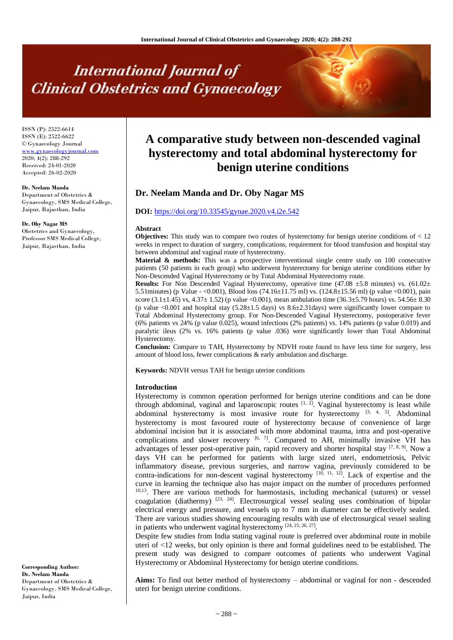# **International Journal of Clinical Obstetrics and Gynaecology**

ISSN (P): 2522-6614 ISSN (E): 2522-6622 © Gynaecology Journal [www.gynaecologyjournal.com](http://www.gynaecologyjournal.com/) 2020; 4(2): 288-292 Received: 24-01-2020 Accepted: 26-02-2020

#### **Dr. Neelam Manda**

Department of Obstetrics & Gynaecology, SMS Medical College, Jaipur, Rajasthan, India

#### **Dr. Oby Nagar MS**

Obstetrics and Gynaecology, Professor SMS Medical College, Jaipur, Rajasthan, India

**A comparative study between non-descended vaginal hysterectomy and total abdominal hysterectomy for benign uterine conditions**

# **Dr. Neelam Manda and Dr. Oby Nagar MS**

# **DOI:** <https://doi.org/10.33545/gynae.2020.v4.i2e.542>

#### **Abstract**

**Objectives:** This study was to compare two routes of hysterectomy for benign uterine conditions of < 12 weeks in respect to duration of surgery, complications, requirement for blood transfusion and hospital stay between abdominal and vaginal route of hysterectomy.

**Material & methods:** This was a prospective interventional single centre study on 100 consecutive patients (50 patients in each group) who underwent hysterectomy for benign uterine conditions either by Non-Descended Vaginal Hysterectomy or by Total Abdominal Hysterectomy route.

**Results:** For Non Descended Vaginal Hysterectomy, operative time  $(47.08 \pm 5.8 \text{ minutes})$  vs.  $(61.02 \pm 1.00 \text{ times})$ 5.51minutes) (p Value - <0.001), Blood loss (74.16±11.75 ml) vs. (124.8±15.56 ml) (p value <0.001), pain score  $(3.1\pm1.45)$  vs,  $4.37\pm1.52$ ) (p value <0.001), mean ambulation time  $(36.3\pm5.79$  hours) vs.  $54.56\pm8.30$ (p value  $<0.001$  and hospital stay  $(5.28\pm1.5$  days) vs  $8.6\pm2.31$  days) were significantly lower compare to Total Abdominal Hysterectomy group. For Non-Descended Vaginal Hysterectomy, postoperative fever (6% patients vs 24% (p value 0.025), wound infections (2% patients) vs. 14% patients (p value 0.019) and paralytic ileus (2% vs. 16% patients (p value .036) were significantly lower than Total Abdominal Hysterectomy.

**Conclusion:** Compare to TAH, Hysterectomy by NDVH route found to have less time for surgery, less amount of blood loss, fewer complications & early ambulation and discharge.

**Keywords:** NDVH versus TAH for benign uterine conditions

#### **Introduction**

Hysterectomy is common operation performed for benign uterine conditions and can be done through abdominal, vaginal and laparoscopic routes  $[1, 2]$ . Vaginal hysterectomy is least while abdominal hysterectomy is most invasive route for hysterectomy  $[3, 4, 5]$ . Abdominal hysterectomy is most favoured route of hysterectomy because of convenience of large abdominal incision but it is associated with more abdominal trauma, intra and post-operative complications and slower recovery  $[6, 7]$ . Compared to AH, minimally invasive VH has advantages of lesser post-operative pain, rapid recovery and shorter hospital stay  $[7, 8, 9]$ . Now a days VH can be performed for patients with large sized uteri, endometriosis, Pelvic inflammatory disease, previous surgeries, and narrow vagina, previously considered to be contra-indications for non-descent vaginal hysterectomy [10, 11, 12]. Lack of expertise and the curve in learning the technique also has major impact on the number of procedures performed <sup>10,13</sup>. There are various methods for haemostasis, including mechanical (sutures) or vessel coagulation (diathermy)  $[23, 24]$ . Electrosurgical vessel sealing uses combination of bipolar electrical energy and pressure, and vessels up to 7 mm in diameter can be effectively sealed. There are various studies showing encouraging results with use of electrosurgical vessel sealing in patients who underwent vaginal hysterectomy  $[24, 25, 26, 27]$ .

Despite few studies from India stating vaginal route is preferred over abdominal route in mobile uteri of <12 weeks, but only opinion is there and formal guidelines need to be established. The present study was designed to compare outcomes of patients who underwent Vaginal Hysterectomy or Abdominal Hysterectomy for benign uterine conditions.

**Aims:** To find out better method of hysterectomy – abdominal or vaginal for non - descended uteri for benign uterine conditions.

**Corresponding Author: Dr. Neelam Manda** Department of Obstetrics & Gynaecology, SMS Medical College, Jaipur, India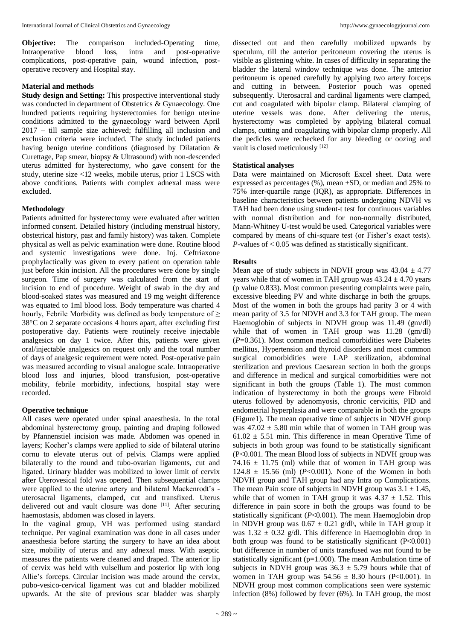**Objective:** The comparison included-Operating time, Intraoperative blood loss, intra and post-operative Intraoperative blood loss, intra and post-operative complications, post-operative pain, wound infection, postoperative recovery and Hospital stay.

#### **Material and methods**

**Study design and Setting:** This prospective interventional study was conducted in department of Obstetrics & Gynaecology. One hundred patients requiring hysterectomies for benign uterine conditions admitted to the gynaecology ward between April 2017 – till sample size achieved; fulfilling all inclusion and exclusion criteria were included. The study included patients having benign uterine conditions (diagnosed by Dilatation & Curettage, Pap smear, biopsy & Ultrasound) with non-descended uterus admitted for hysterectomy, who gave consent for the study, uterine size <12 weeks, mobile uterus, prior 1 LSCS with above conditions. Patients with complex adnexal mass were excluded.

## **Methodology**

Patients admitted for hysterectomy were evaluated after written informed consent. Detailed history (including menstrual history, obstetrical history, past and family history) was taken. Complete physical as well as pelvic examination were done. Routine blood and systemic investigations were done. Inj. Ceftriaxone prophylactically was given to every patient on operation table just before skin incision. All the procedures were done by single surgeon. Time of surgery was calculated from the start of incision to end of procedure. Weight of swab in the dry and blood-soaked states was measured and 19 mg weight difference was equated to 1ml blood loss. Body temperature was charted 4 hourly, Febrile Morbidity was defined as body temperature of  $\geq$ 38°C on 2 separate occasions 4 hours apart, after excluding first postoperative day. Patients were routinely receive injectable analgesics on day 1 twice. After this, patients were given oral/injectable analgesics on request only and the total number of days of analgesic requirement were noted. Post-operative pain was measured according to visual analogue scale. Intraoperative blood loss and injuries, blood transfusion, post-operative mobility, febrile morbidity, infections, hospital stay were recorded.

#### **Operative technique**

All cases were operated under spinal anaesthesia. In the total abdominal hysterectomy group, painting and draping followed by Pfannenstiel incision was made. Abdomen was opened in layers; Kocher's clamps were applied to side of bilateral uterine cornu to elevate uterus out of pelvis. Clamps were applied bilaterally to the round and tubo-ovarian ligaments, cut and ligated. Urinary bladder was mobilized to lower limit of cervix after Uterovesical fold was opened. Then subsequential clamps were applied to the uterine artery and bilateral Mackenrodt's uterosacral ligaments, clamped, cut and transfixed. Uterus delivered out and vault closure was done [11]. After securing haemostasis, abdomen was closed in layers.

In the vaginal group, VH was performed using standard technique. Per vaginal examination was done in all cases under anaesthesia before starting the surgery to have an idea about size, mobility of uterus and any adnexal mass. With aseptic measures the patients were cleaned and draped. The anterior lip of cervix was held with vulsellum and posterior lip with long Allie's forceps. Circular incision was made around the cervix, pubo-vesico-cervical ligament was cut and bladder mobilized upwards. At the site of previous scar bladder was sharply

dissected out and then carefully mobilized upwards by speculum, till the anterior peritoneum covering the uterus is visible as glistening white. In cases of difficulty in separating the bladder the lateral window technique was done. The anterior peritoneum is opened carefully by applying two artery forceps and cutting in between. Posterior pouch was opened subsequently. Uterosacral and cardinal ligaments were clamped, cut and coagulated with bipolar clamp. Bilateral clamping of uterine vessels was done. After delivering the uterus, hysterectomy was completed by applying bilateral cornual clamps, cutting and coagulating with bipolar clamp properly. All the pedicles were rechecked for any bleeding or oozing and vault is closed meticulously [12]

## **Statistical analyses**

Data were maintained on Microsoft Excel sheet. Data were expressed as percentages (%), mean ±SD, or median and 25% to 75% inter-quartile range (IQR), as appropriate. Differences in baseline characteristics between patients undergoing NDVH vs TAH had been done using student-t test for continuous variables with normal distribution and for non-normally distributed, Mann-Whitney U-test would be used. Categorical variables were compared by means of chi-square test (or Fisher's exact tests). *P*-values of < 0.05 was defined as statistically significant.

## **Results**

Mean age of study subjects in NDVH group was  $43.04 \pm 4.77$ years while that of women in TAH group was  $43.24 \pm 4.70$  years (p value 0.833). Most common presenting complaints were pain, excessive bleeding PV and white discharge in both the groups. Most of the women in both the groups had parity 3 or 4 with mean parity of 3.5 for NDVH and 3.3 for TAH group. The mean Haemoglobin of subjects in NDVH group was 11.49 (gm/dl) while that of women in TAH group was 11.28 (gm/dl) (*P*=0.361). Most common medical comorbidities were Diabetes mellitus, Hypertension and thyroid disorders and most common surgical comorbidities were LAP sterilization, abdominal sterilization and previous Caesarean section in both the groups and difference in medical and surgical comorbidities were not significant in both the groups (Table 1). The most common indication of hysterectomy in both the groups were Fibroid uterus followed by adenomyosis, chronic cervicitis, PID and endometrial hyperplasia and were comparable in both the groups (Figure1). The mean operative time of subjects in NDVH group was  $47.02 \pm 5.80$  min while that of women in TAH group was  $61.02 \pm 5.51$  min. This difference in mean Operative Time of subjects in both group was found to be statistically significant (P<0.001. The mean Blood loss of subjects in NDVH group was 74.16  $\pm$  11.75 (ml) while that of women in TAH group was 124.8  $\pm$  15.56 (ml) (*P*<0.001). None of the Women in both NDVH group and TAH group had any Intra op Complications. The mean Pain score of subjects in NDVH group was  $3.1 \pm 1.45$ , while that of women in TAH group it was  $4.37 \pm 1.52$ . This difference in pain score in both the groups was found to be statistically significant (*P*<0.001). The mean Haemoglobin drop in NDVH group was  $0.67 \pm 0.21$  g/dl\, while in TAH group it was  $1.32 \pm 0.32$  g/dl. This difference in Haemoglobin drop in both group was found to be statistically significant  $(P<0.001)$ but difference in number of units transfused was not found to be statistically significant (p=1.000). The mean Ambulation time of subjects in NDVH group was  $36.3 \pm 5.79$  hours while that of women in TAH group was  $54.56 \pm 8.30$  hours (P<0.001). In NDVH group most common complications seen were systemic infection (8%) followed by fever (6%). In TAH group, the most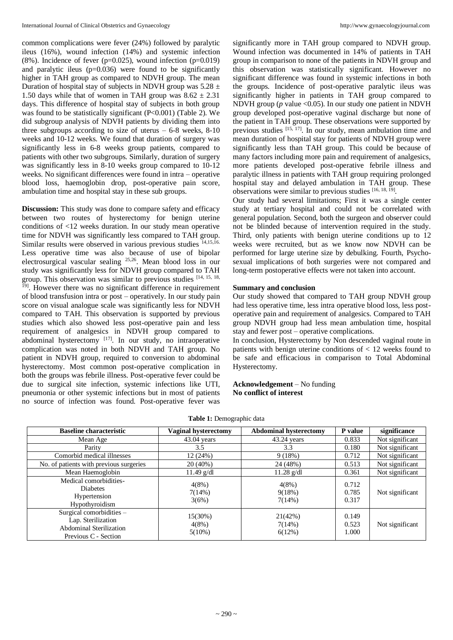common complications were fever (24%) followed by paralytic ileus (16%), wound infection (14%) and systemic infection  $(8\%)$ . Incidence of fever (p=0.025), wound infection (p=0.019) and paralytic ileus  $(p=0.036)$  were found to be significantly higher in TAH group as compared to NDVH group. The mean Duration of hospital stay of subjects in NDVH group was  $5.28 \pm$ 1.50 days while that of women in TAH group was  $8.62 \pm 2.31$ days. This difference of hospital stay of subjects in both group was found to be statistically significant (P<0.001) (Table 2). We did subgroup analysis of NDVH patients by dividing them into three subgroups according to size of uterus  $-6-8$  weeks, 8-10 weeks and 10-12 weeks. We found that duration of surgery was significantly less in 6-8 weeks group patients, compared to patients with other two subgroups. Similarly, duration of surgery was significantly less in 8-10 weeks group compared to 10-12 weeks. No significant differences were found in intra – operative blood loss, haemoglobin drop, post-operative pain score, ambulation time and hospital stay in these sub groups.

**Discussion:** This study was done to compare safety and efficacy between two routes of hysterectomy for benign uterine conditions of <12 weeks duration. In our study mean operative time for NDVH was significantly less compared to TAH group. Similar results were observed in various previous studies  $^{14,15,16}$ . Less operative time was also because of use of bipolar electrosurgical vascular sealing 25,26. Mean blood loss in our study was significantly less for NDVH group compared to TAH group. This observation was similar to previous studies [14, 15, 18, 19] . However there was no significant difference in requirement of blood transfusion intra or post – operatively. In our study pain score on visual analogue scale was significantly less for NDVH compared to TAH. This observation is supported by previous studies which also showed less post-operative pain and less requirement of analgesics in NDVH group compared to abdominal hysterectomy  $[17]$ . In our study, no intraoperative complication was noted in both NDVH and TAH group. No patient in NDVH group, required to conversion to abdominal hysterectomy. Most common post-operative complication in both the groups was febrile illness. Post-operative fever could be due to surgical site infection, systemic infections like UTI, pneumonia or other systemic infections but in most of patients no source of infection was found. Post-operative fever was

significantly more in TAH group compared to NDVH group. Wound infection was documented in 14% of patients in TAH group in comparison to none of the patients in NDVH group and this observation was statistically significant. However no significant difference was found in systemic infections in both the groups. Incidence of post-operative paralytic ileus was significantly higher in patients in TAH group compared to NDVH group (*p* value <0.05). In our study one patient in NDVH group developed post-operative vaginal discharge but none of the patient in TAH group. These observations were supported by previous studies [15, 17]. In our study, mean ambulation time and mean duration of hospital stay for patients of NDVH group were significantly less than TAH group. This could be because of many factors including more pain and requirement of analgesics, more patients developed post-operative febrile illness and paralytic illness in patients with TAH group requiring prolonged hospital stay and delayed ambulation in TAH group. These observations were similar to previous studies [16, 18, 19].

Our study had several limitations; First it was a single center study at tertiary hospital and could not be correlated with general population. Second, both the surgeon and observer could not be blinded because of intervention required in the study. Third, only patients with benign uterine conditions up to 12 weeks were recruited, but as we know now NDVH can be performed for large uterine size by debulking. Fourth, Psychosexual implications of both surgeries were not compared and long-term postoperative effects were not taken into account.

## **Summary and conclusion**

Our study showed that compared to TAH group NDVH group had less operative time, less intra operative blood loss, less postoperative pain and requirement of analgesics. Compared to TAH group NDVH group had less mean ambulation time, hospital stay and fewer post – operative complications.

In conclusion, Hysterectomy by Non descended vaginal route in patients with benign uterine conditions of < 12 weeks found to be safe and efficacious in comparison to Total Abdominal Hysterectomy.

#### **Acknowledgement** – No funding **No conflict of interest**

| <b>Baseline characteristic</b>                                                                             | Vaginal hysterectomy          | <b>Abdominal hysterectomy</b> | P value                 | significance    |  |  |
|------------------------------------------------------------------------------------------------------------|-------------------------------|-------------------------------|-------------------------|-----------------|--|--|
| Mean Age                                                                                                   | $43.04$ years                 | $43.24$ years                 | 0.833                   | Not significant |  |  |
| Parity                                                                                                     | 3.5                           | 3.3                           | 0.180                   | Not significant |  |  |
| Comorbid medical illnesses                                                                                 | 12(24%)                       | 9(18%)                        | 0.712                   | Not significant |  |  |
| No. of patients with previous surgeries                                                                    | $20(40\%)$                    | 24 (48%)                      | 0.513                   | Not significant |  |  |
| Mean Haemoglobin                                                                                           | $11.49$ g/dl                  | $11.28$ g/dl                  | 0.361                   | Not significant |  |  |
| Medical comorbidities-<br><b>Diabetes</b><br>Hypertension<br>Hypothyroidism                                | 4(8%)<br>7(14%)<br>3(6%)      | $4(8\%)$<br>9(18%)<br>7(14%)  | 0.712<br>0.785<br>0.317 | Not significant |  |  |
| Surgical comorbidities $-$<br>Lap. Sterilization<br><b>Abdominal Sterilization</b><br>Previous C - Section | 15(30%)<br>$4(8\%)$<br>5(10%) | 21(42%)<br>7(14%)<br>6(12%)   | 0.149<br>0.523<br>1.000 | Not significant |  |  |

#### **Table 1:** Demographic data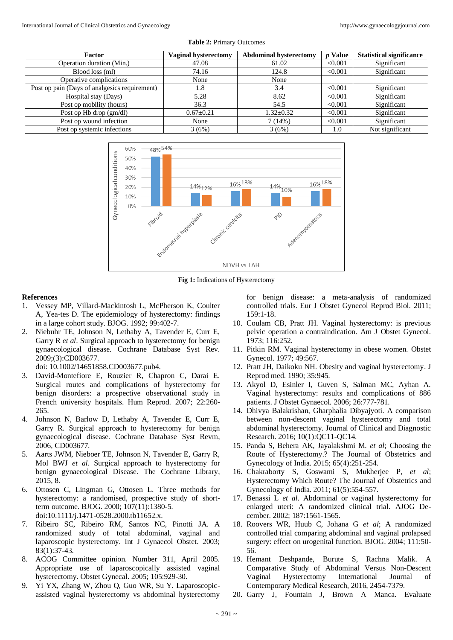| <b>Factor</b>                                 | Vaginal hysterectomy | <b>Abdominal hysterectomy</b> | <b>Value</b> | <b>Statistical significance</b> |
|-----------------------------------------------|----------------------|-------------------------------|--------------|---------------------------------|
| Operation duration (Min.)                     | 47.08                | 61.02                         | < 0.001      | Significant                     |
| Blood loss (ml)                               | 74.16                | 124.8                         | < 0.001      | Significant                     |
| Operative complications                       | None                 | None                          |              |                                 |
| Post op pain (Days of analgesics requirement) | 1.8                  | 3.4                           | < 0.001      | Significant                     |
| Hospital stay (Days)                          | 5.28                 | 8.62                          | < 0.001      | Significant                     |
| Post op mobility (hours)                      | 36.3                 | 54.5                          | < 0.001      | Significant                     |
| Post op Hb drop (gm/dl)                       | $0.67 \pm 0.21$      | $1.32 \pm 0.32$               | < 0.001      | Significant                     |
| Post op wound infection                       | None                 | 7(14%)                        | < 0.001      | Significant                     |
| Post op systemic infections                   | 3(6%)                | 3(6%)                         | 1.0          | Not significant                 |

**Table 2:** Primary Outcomes



**Fig 1:** Indications of Hysterectomy

## **References**

- 1. Vessey MP, Villard-Mackintosh L, McPherson K, Coulter A, Yea-tes D. The epidemiology of hysterectomy: findings in a large cohort study. BJOG. 1992; 99:402-7.
- 2. Niebuhr TE, Johnson N, Lethaby A, Tavender E, Curr E, Garry R *et al*. Surgical approach to hysterectomy for benign gynaecological disease. Cochrane Database Syst Rev. 2009;(3):CD003677.

doi: 10.1002/14651858.CD003677.pub4.

- 3. David-Montefiore E, Rouzier R, Chapron C, Darai E. Surgical routes and complications of hysterectomy for benign disorders: a prospective observational study in French university hospitals. Hum Reprod. 2007; 22:260- 265.
- 4. Johnson N, Barlow D, Lethaby A, Tavender E, Curr E, Garry R. Surgical approach to hysterectomy for benign gynaecological disease. Cochrane Database Syst Revm, 2006, CD003677.
- 5. Aarts JWM, Nieboer TE, Johnson N, Tavender E, Garry R, Mol BWJ *et al*. Surgical approach to hysterectomy for benign gynaecological Disease. The Cochrane Library, 2015, 8.
- 6. Ottosen C, Lingman G, Ottosen L. Three methods for hysterectomy: a randomised, prospective study of shortterm outcome. BJOG. 2000; 107(11):1380-5. doi:10.1111/j.1471-0528.2000.tb11652.x.
- 7. Ribeiro SC, Ribeiro RM, Santos NC, Pinotti JA. A randomized study of total abdominal, vaginal and laparoscopic hysterectomy. Int J Gynaecol Obstet. 2003; 83(1):37-43.
- 8. ACOG Committee opinion. Number 311, April 2005. Appropriate use of laparoscopically assisted vaginal hysterectomy. Obstet Gynecal. 2005; 105:929-30.
- 9. Yi YX, Zhang W, Zhou Q, Guo WR, Su Y. Laparoscopicassisted vaginal hysterectomy vs abdominal hysterectomy

for benign disease: a meta-analysis of randomized controlled trials. Eur J Obstet Gynecol Reprod Biol. 2011; 159:1-18.

- 10. Coulam CB, Pratt JH. Vaginal hysterectomy: is previous pelvic operation a contraindication. Am J Obstet Gynecol. 1973; 116:252.
- 11. Pitkin RM. Vaginal hysterectomy in obese women. Obstet Gynecol. 1977; 49:567.
- 12. Pratt JH, Daikoku NH. Obesity and vaginal hysterectomy. J Reprod med. 1990; 35:945.
- 13. Akyol D, Esinler I, Guven S, Salman MC, Ayhan A. Vaginal hysterectomy: results and complications of 886 patients. J Obstet Gynaecol. 2006; 26:777-781.
- 14. Dhivya Balakrishan, Gharphalia Dibyajyoti. A comparison between non-descent vaginal hysterectomy and total abdominal hysterectomy. Journal of Clinical and Diagnostic Research. 2016; 10(1):QC11-QC14.
- 15. Panda S, Behera AK, Jayalakshmi M. *et al*; Choosing the Route of Hysterectomy.? The Journal of Obstetrics and Gynecology of India. 2015; 65(4):251-254.
- 16. Chakraborty S, Goswami S, Mukherjee P, *et al*; Hysterectomy Which Route? The Journal of Obstetrics and Gynecology of India. 2011; 61(5):554-557.
- 17. Benassi L *et al*. Abdominal or vaginal hysterectomy for enlarged uteri: A randomized clinical trial. AJOG December. 2002; 187:1561-1565.
- 18. Roovers WR, Huub C, Johana G *et al*; A randomized controlled trial comparing abdominal and vaginal prolapsed surgery: effect on urogenital function. BJOG. 2004; 111:50- 56.
- 19. Hemant Deshpande, Burute S, Rachna Malik. A Comparative Study of Abdominal Versus Non-Descent Vaginal Hysterectomy International Journal of Contemporary Medical Research, 2016, 2454-7379.
- 20. Garry J, Fountain J, Brown A Manca. Evaluate